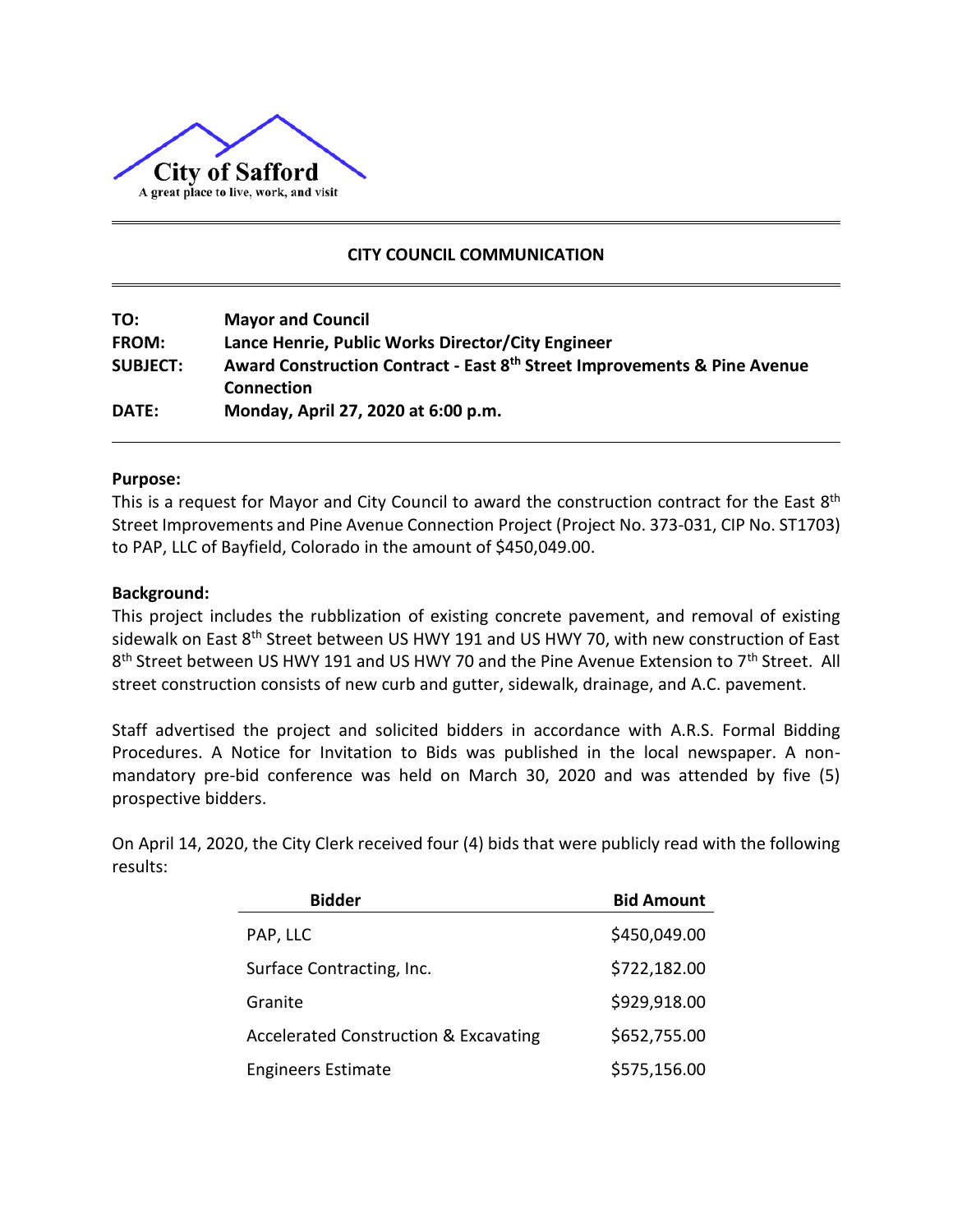

# **CITY COUNCIL COMMUNICATION**

| TO:             | <b>Mayor and Council</b>                                                                           |
|-----------------|----------------------------------------------------------------------------------------------------|
| <b>FROM:</b>    | Lance Henrie, Public Works Director/City Engineer                                                  |
| <b>SUBJECT:</b> | Award Construction Contract - East 8 <sup>th</sup> Street Improvements & Pine Avenue<br>Connection |
| <b>DATE:</b>    | Monday, April 27, 2020 at 6:00 p.m.                                                                |

#### **Purpose:**

This is a request for Mayor and City Council to award the construction contract for the East 8<sup>th</sup> Street Improvements and Pine Avenue Connection Project (Project No. 373-031, CIP No. ST1703) to PAP, LLC of Bayfield, Colorado in the amount of \$450,049.00.

#### **Background:**

This project includes the rubblization of existing concrete pavement, and removal of existing sidewalk on East 8<sup>th</sup> Street between US HWY 191 and US HWY 70, with new construction of East 8<sup>th</sup> Street between US HWY 191 and US HWY 70 and the Pine Avenue Extension to 7<sup>th</sup> Street. All street construction consists of new curb and gutter, sidewalk, drainage, and A.C. pavement.

Staff advertised the project and solicited bidders in accordance with A.R.S. Formal Bidding Procedures. A Notice for Invitation to Bids was published in the local newspaper. A nonmandatory pre-bid conference was held on March 30, 2020 and was attended by five (5) prospective bidders.

On April 14, 2020, the City Clerk received four (4) bids that were publicly read with the following results:

| <b>Bidder</b>                                    | <b>Bid Amount</b> |
|--------------------------------------------------|-------------------|
| PAP, LLC                                         | \$450,049.00      |
| Surface Contracting, Inc.                        | \$722,182.00      |
| Granite                                          | \$929,918.00      |
| <b>Accelerated Construction &amp; Excavating</b> | \$652,755.00      |
| <b>Engineers Estimate</b>                        | \$575,156.00      |